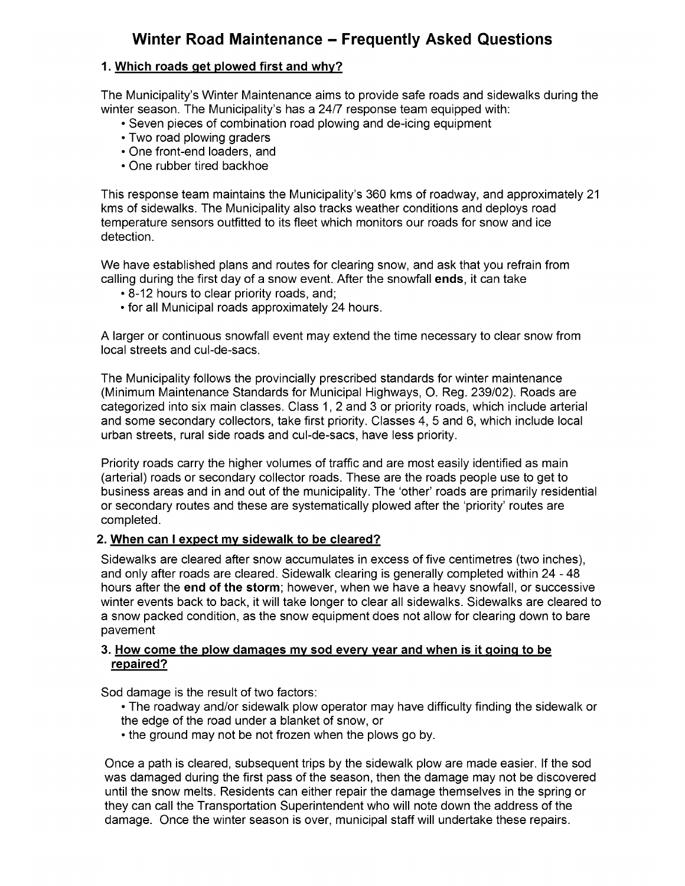# Winter Road Maintenance — Frequently Asked Questions

## 1. Which roads qet plowed first and why?

The Municipality's Winter Maintenance aims to provide safe roads and sidewalks during the winter season. The Municipality's has a 24/7 response team equipped with:

- Seven pieces of combination road plowing and de- icing equipment
- Two road plowing graders
- One front-end loaders, and
- One rubber tired backhoe

This response team maintains the Municipality's 360 kms of roadway, and approximately 21 kms of sidewalks. The Municipality also tracks weather conditions and deploys road temperature sensors outfitted to its fleet which monitors our roads for snow and ice detection.

We have established plans and routes for clearing snow, and ask that you refrain from calling during the first day of a snow event. After the snowfall ends, it can take

- 8- 12 hours to clear priority roads, and;
- for all Municipal roads approximately 24 hours.

A larger or continuous snowfall event may extend the time necessary to clear snow from local streets and cul-de-sacs.

The Municipality follows the provincially prescribed standards for winter maintenance (Minimum Maintenance Standards for Municipal Highways, O. Reg. 239/02). Roads are categorized into six main classes. Class 1, 2 and 3 or priority roads, which include arterial and some secondary collectors, take first priority. Classes 4, 5 and 6, which include local urban streets, rural side roads and cul- de- sacs, have less priority.

Priority roads carry the higher volumes of traffic and are most easily identified as main arterial) roads or secondary collector roads. These are the roads people use to get to business areas and in and out of the municipality. The `other' roads are primarily residential or secondary routes and these are systematically plowed after the ` priority' routes are completed.

## 2. When can <sup>I</sup> expect mv sidewalk to be cleared?

Sidewalks are cleared after snow accumulates in excess of five centimetres ( two inches), and only after roads are cleared. Sidewalk clearing is generally completed within 24 - 48 hours after the end of the storm; however, when we have a heavy snowfall, or successive winter events back to back, it will take longer to clear all sidewalks. Sidewalks are cleared to a snow packed condition, as the snow equipment does not allow for clearing down to bare pavement

## 3. How come the plow damaqes mv sod everv vear and when is it qoinq to be repaired?

Sod damage is the result of two factors:

- The roadway and/or sidewalk plow operator may have difficulty finding the sidewalk or the edge of the road under a blanket of snow, or
- the ground may not be not frozen when the plows go by.

Once a path is cleared, subsequent trips by the sidewalk plow are made easier. If the sod was damaged during the first pass of the season, then the damage may not be discovered until the snow melts. Residents can either repair the damage themselves in the spring or they can call the Transportation Superintendent who will note down the address of the damage. Once the winter season is over, municipal staff will undertake these repairs.